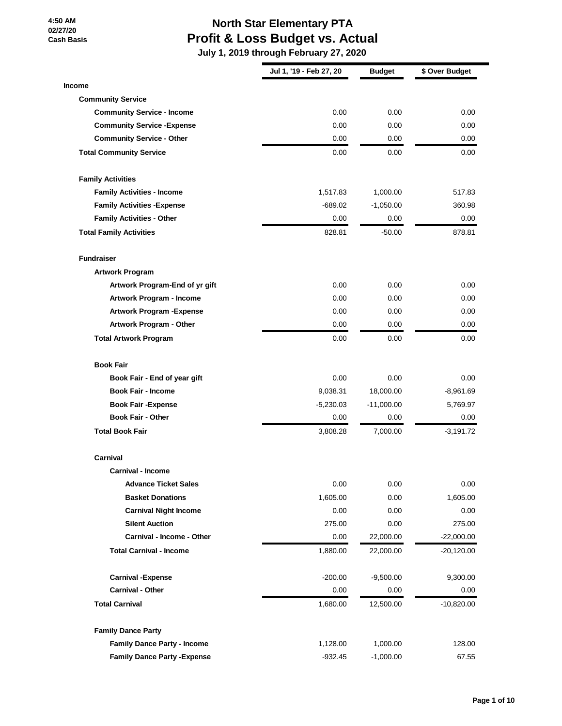## **North Star Elementary PTA Profit & Loss Budget vs. Actual**

|                                     | Jul 1, '19 - Feb 27, 20 | <b>Budget</b> | \$ Over Budget |
|-------------------------------------|-------------------------|---------------|----------------|
| <b>Income</b>                       |                         |               |                |
| <b>Community Service</b>            |                         |               |                |
| <b>Community Service - Income</b>   | 0.00                    | 0.00          | 0.00           |
| <b>Community Service - Expense</b>  | 0.00                    | 0.00          | 0.00           |
| <b>Community Service - Other</b>    | 0.00                    | 0.00          | 0.00           |
| <b>Total Community Service</b>      | 0.00                    | 0.00          | 0.00           |
| <b>Family Activities</b>            |                         |               |                |
| <b>Family Activities - Income</b>   | 1,517.83                | 1,000.00      | 517.83         |
| <b>Family Activities - Expense</b>  | $-689.02$               | $-1,050.00$   | 360.98         |
| <b>Family Activities - Other</b>    | 0.00                    | 0.00          | 0.00           |
| <b>Total Family Activities</b>      | 828.81                  | $-50.00$      | 878.81         |
| <b>Fundraiser</b>                   |                         |               |                |
| <b>Artwork Program</b>              |                         |               |                |
| Artwork Program-End of yr gift      | 0.00                    | 0.00          | 0.00           |
| Artwork Program - Income            | 0.00                    | 0.00          | 0.00           |
| <b>Artwork Program - Expense</b>    | 0.00                    | 0.00          | 0.00           |
| Artwork Program - Other             | 0.00                    | 0.00          | 0.00           |
| <b>Total Artwork Program</b>        | 0.00                    | 0.00          | 0.00           |
| <b>Book Fair</b>                    |                         |               |                |
| Book Fair - End of year gift        | 0.00                    | 0.00          | 0.00           |
| <b>Book Fair - Income</b>           | 9,038.31                | 18,000.00     | $-8,961.69$    |
| <b>Book Fair - Expense</b>          | $-5,230.03$             | $-11,000.00$  | 5,769.97       |
| <b>Book Fair - Other</b>            | 0.00                    | 0.00          | 0.00           |
| <b>Total Book Fair</b>              | 3,808.28                | 7,000.00      | $-3,191.72$    |
| Carnival                            |                         |               |                |
| <b>Carnival - Income</b>            |                         |               |                |
| <b>Advance Ticket Sales</b>         | 0.00                    | 0.00          | 0.00           |
| <b>Basket Donations</b>             | 1,605.00                | 0.00          | 1,605.00       |
| <b>Carnival Night Income</b>        | 0.00                    | 0.00          | 0.00           |
| <b>Silent Auction</b>               | 275.00                  | 0.00          | 275.00         |
| <b>Carnival - Income - Other</b>    | 0.00                    | 22,000.00     | $-22,000.00$   |
| <b>Total Carnival - Income</b>      | 1,880.00                | 22,000.00     | $-20,120.00$   |
| <b>Carnival - Expense</b>           | $-200.00$               | $-9,500.00$   | 9,300.00       |
| <b>Carnival - Other</b>             | 0.00                    | 0.00          | 0.00           |
| <b>Total Carnival</b>               | 1,680.00                | 12,500.00     | $-10,820.00$   |
| <b>Family Dance Party</b>           |                         |               |                |
| <b>Family Dance Party - Income</b>  | 1,128.00                | 1,000.00      | 128.00         |
| <b>Family Dance Party - Expense</b> | $-932.45$               | $-1,000.00$   | 67.55          |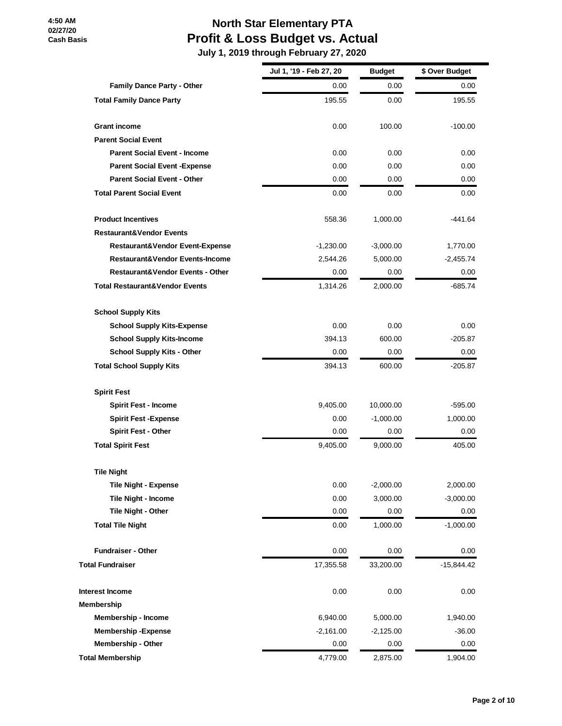## **North Star Elementary PTA Profit & Loss Budget vs. Actual**

|                                             | Jul 1, '19 - Feb 27, 20 | <b>Budget</b> | \$ Over Budget |
|---------------------------------------------|-------------------------|---------------|----------------|
| Family Dance Party - Other                  | 0.00                    | 0.00          | 0.00           |
| <b>Total Family Dance Party</b>             | 195.55                  | 0.00          | 195.55         |
| <b>Grant income</b>                         | 0.00                    | 100.00        | $-100.00$      |
| <b>Parent Social Event</b>                  |                         |               |                |
| <b>Parent Social Event - Income</b>         | 0.00                    | 0.00          | 0.00           |
| <b>Parent Social Event - Expense</b>        | 0.00                    | 0.00          | 0.00           |
| <b>Parent Social Event - Other</b>          | 0.00                    | 0.00          | 0.00           |
| <b>Total Parent Social Event</b>            | 0.00                    | 0.00          | 0.00           |
| <b>Product Incentives</b>                   | 558.36                  | 1,000.00      | -441.64        |
| <b>Restaurant&amp;Vendor Events</b>         |                         |               |                |
| <b>Restaurant&amp;Vendor Event-Expense</b>  | $-1,230.00$             | $-3,000.00$   | 1,770.00       |
| Restaurant&Vendor Events-Income             | 2,544.26                | 5,000.00      | -2,455.74      |
| <b>Restaurant&amp;Vendor Events - Other</b> | 0.00                    | 0.00          | 0.00           |
| <b>Total Restaurant&amp;Vendor Events</b>   | 1,314.26                | 2,000.00      | -685.74        |
| <b>School Supply Kits</b>                   |                         |               |                |
| <b>School Supply Kits-Expense</b>           | 0.00                    | 0.00          | 0.00           |
| <b>School Supply Kits-Income</b>            | 394.13                  | 600.00        | -205.87        |
| <b>School Supply Kits - Other</b>           | 0.00                    | 0.00          | 0.00           |
| <b>Total School Supply Kits</b>             | 394.13                  | 600.00        | $-205.87$      |
| <b>Spirit Fest</b>                          |                         |               |                |
| <b>Spirit Fest - Income</b>                 | 9,405.00                | 10,000.00     | -595.00        |
| <b>Spirit Fest -Expense</b>                 | 0.00                    | $-1,000.00$   | 1,000.00       |
| <b>Spirit Fest - Other</b>                  | 0.00                    | 0.00          | 0.00           |
| <b>Total Spirit Fest</b>                    | 9,405.00                | 9,000.00      | 405.00         |
| <b>Tile Night</b>                           |                         |               |                |
| <b>Tile Night - Expense</b>                 | 0.00                    | $-2,000.00$   | 2,000.00       |
| <b>Tile Night - Income</b>                  | 0.00                    | 3,000.00      | $-3,000.00$    |
| Tile Night - Other                          | 0.00                    | 0.00          | 0.00           |
| <b>Total Tile Night</b>                     | 0.00                    | 1,000.00      | $-1,000.00$    |
| <b>Fundraiser - Other</b>                   | 0.00                    | 0.00          | 0.00           |
| <b>Total Fundraiser</b>                     | 17,355.58               | 33,200.00     | $-15,844.42$   |
| <b>Interest Income</b>                      | 0.00                    | 0.00          | 0.00           |
| <b>Membership</b>                           |                         |               |                |
| Membership - Income                         | 6,940.00                | 5,000.00      | 1,940.00       |
| <b>Membership-Expense</b>                   | $-2,161.00$             | $-2,125.00$   | $-36.00$       |
| <b>Membership - Other</b>                   | 0.00                    | 0.00          | 0.00           |
| <b>Total Membership</b>                     | 4,779.00                | 2,875.00      | 1,904.00       |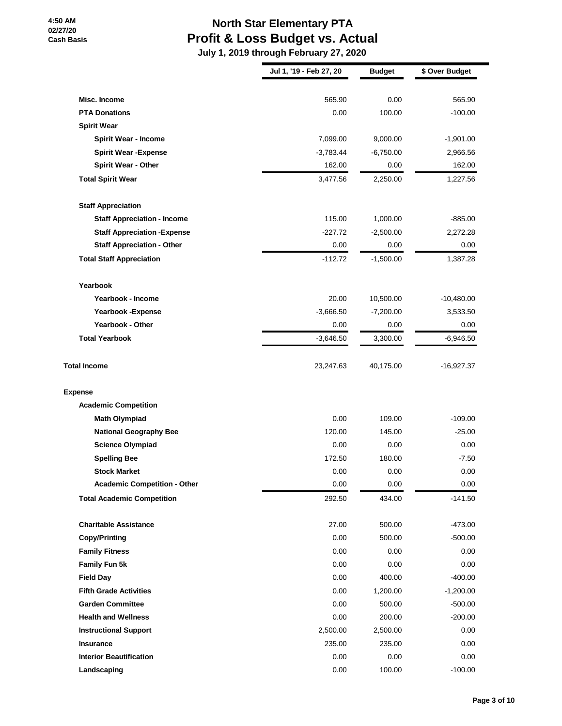## **North Star Elementary PTA Profit & Loss Budget vs. Actual**

|                                     | Jul 1, '19 - Feb 27, 20 | <b>Budget</b> | \$ Over Budget |
|-------------------------------------|-------------------------|---------------|----------------|
|                                     |                         |               |                |
| Misc. Income                        | 565.90                  | 0.00          | 565.90         |
| <b>PTA Donations</b>                | 0.00                    | 100.00        | $-100.00$      |
| <b>Spirit Wear</b>                  |                         |               |                |
| <b>Spirit Wear - Income</b>         | 7,099.00                | 9,000.00      | $-1,901.00$    |
| <b>Spirit Wear - Expense</b>        | $-3,783.44$             | $-6,750.00$   | 2,966.56       |
| <b>Spirit Wear - Other</b>          | 162.00                  | 0.00          | 162.00         |
| <b>Total Spirit Wear</b>            | 3,477.56                | 2,250.00      | 1,227.56       |
| <b>Staff Appreciation</b>           |                         |               |                |
| <b>Staff Appreciation - Income</b>  | 115.00                  | 1,000.00      | $-885.00$      |
| <b>Staff Appreciation - Expense</b> | $-227.72$               | $-2,500.00$   | 2,272.28       |
| <b>Staff Appreciation - Other</b>   | 0.00                    | 0.00          | 0.00           |
| <b>Total Staff Appreciation</b>     | $-112.72$               | $-1,500.00$   | 1,387.28       |
| Yearbook                            |                         |               |                |
| Yearbook - Income                   | 20.00                   | 10,500.00     | $-10,480.00$   |
| <b>Yearbook -Expense</b>            | $-3,666.50$             | $-7,200.00$   | 3,533.50       |
| Yearbook - Other                    | 0.00                    | 0.00          | 0.00           |
| <b>Total Yearbook</b>               | $-3,646.50$             | 3,300.00      | $-6,946.50$    |
| <b>Total Income</b>                 | 23,247.63               | 40,175.00     | $-16,927.37$   |
| <b>Expense</b>                      |                         |               |                |
| <b>Academic Competition</b>         |                         |               |                |
| <b>Math Olympiad</b>                | 0.00                    | 109.00        | $-109.00$      |
| <b>National Geography Bee</b>       | 120.00                  | 145.00        | $-25.00$       |
| <b>Science Olympiad</b>             | 0.00                    | 0.00          | 0.00           |
| <b>Spelling Bee</b>                 | 172.50                  | 180.00        | $-7.50$        |
| <b>Stock Market</b>                 | 0.00                    | 0.00          | 0.00           |
| <b>Academic Competition - Other</b> | 0.00                    | 0.00          | 0.00           |
| <b>Total Academic Competition</b>   | 292.50                  | 434.00        | $-141.50$      |
| <b>Charitable Assistance</b>        | 27.00                   | 500.00        | $-473.00$      |
| <b>Copy/Printing</b>                | 0.00                    | 500.00        | $-500.00$      |
| <b>Family Fitness</b>               | 0.00                    | 0.00          | 0.00           |
| Family Fun 5k                       | 0.00                    | 0.00          | 0.00           |
| <b>Field Day</b>                    | 0.00                    | 400.00        | $-400.00$      |
| <b>Fifth Grade Activities</b>       | 0.00                    | 1,200.00      | $-1,200.00$    |
| <b>Garden Committee</b>             | 0.00                    | 500.00        | $-500.00$      |
| <b>Health and Wellness</b>          | 0.00                    | 200.00        | $-200.00$      |
| <b>Instructional Support</b>        | 2,500.00                | 2,500.00      | 0.00           |
| <b>Insurance</b>                    | 235.00                  | 235.00        | 0.00           |
| <b>Interior Beautification</b>      | 0.00                    | 0.00          | 0.00           |
| Landscaping                         | 0.00                    | 100.00        | $-100.00$      |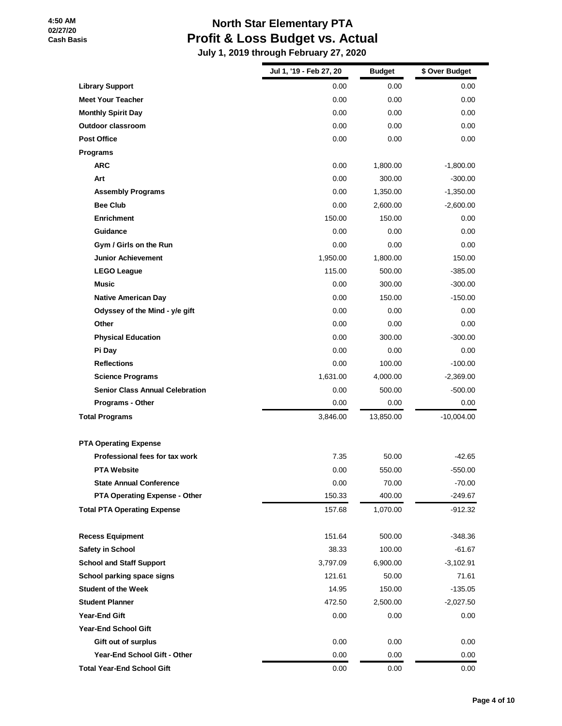## **North Star Elementary PTA Profit & Loss Budget vs. Actual**

|                                        | Jul 1, '19 - Feb 27, 20 | <b>Budget</b> | \$ Over Budget |
|----------------------------------------|-------------------------|---------------|----------------|
| <b>Library Support</b>                 | 0.00                    | 0.00          | 0.00           |
| <b>Meet Your Teacher</b>               | 0.00                    | 0.00          | 0.00           |
| <b>Monthly Spirit Day</b>              | 0.00                    | 0.00          | 0.00           |
| Outdoor classroom                      | 0.00                    | 0.00          | 0.00           |
| <b>Post Office</b>                     | 0.00                    | 0.00          | 0.00           |
| Programs                               |                         |               |                |
| <b>ARC</b>                             | 0.00                    | 1,800.00      | $-1,800.00$    |
| Art                                    | 0.00                    | 300.00        | $-300.00$      |
| <b>Assembly Programs</b>               | 0.00                    | 1,350.00      | $-1,350.00$    |
| <b>Bee Club</b>                        | 0.00                    | 2,600.00      | $-2,600.00$    |
| <b>Enrichment</b>                      | 150.00                  | 150.00        | 0.00           |
| Guidance                               | 0.00                    | 0.00          | 0.00           |
| Gym / Girls on the Run                 | 0.00                    | 0.00          | 0.00           |
| <b>Junior Achievement</b>              | 1,950.00                | 1,800.00      | 150.00         |
| <b>LEGO League</b>                     | 115.00                  | 500.00        | $-385.00$      |
| <b>Music</b>                           | 0.00                    | 300.00        | $-300.00$      |
| <b>Native American Day</b>             | 0.00                    | 150.00        | $-150.00$      |
| Odyssey of the Mind - y/e gift         | 0.00                    | 0.00          | 0.00           |
| Other                                  | 0.00                    | 0.00          | 0.00           |
| <b>Physical Education</b>              | 0.00                    | 300.00        | $-300.00$      |
| Pi Day                                 | 0.00                    | 0.00          | 0.00           |
| <b>Reflections</b>                     | 0.00                    | 100.00        | $-100.00$      |
| <b>Science Programs</b>                | 1,631.00                | 4,000.00      | $-2,369.00$    |
| <b>Senior Class Annual Celebration</b> | 0.00                    | 500.00        | $-500.00$      |
| Programs - Other                       | 0.00                    | 0.00          | 0.00           |
| <b>Total Programs</b>                  | 3,846.00                | 13,850.00     | $-10,004.00$   |
| <b>PTA Operating Expense</b>           |                         |               |                |
| Professional fees for tax work         | 7.35                    | 50.00         | -42.65         |
| <b>PTA Website</b>                     | 0.00                    | 550.00        | $-550.00$      |
| <b>State Annual Conference</b>         | 0.00                    | 70.00         | $-70.00$       |
| <b>PTA Operating Expense - Other</b>   | 150.33                  | 400.00        | $-249.67$      |
| <b>Total PTA Operating Expense</b>     | 157.68                  | 1,070.00      | -912.32        |
| <b>Recess Equipment</b>                | 151.64                  | 500.00        | $-348.36$      |
| <b>Safety in School</b>                | 38.33                   | 100.00        | $-61.67$       |
| <b>School and Staff Support</b>        | 3,797.09                | 6,900.00      | $-3,102.91$    |
| School parking space signs             | 121.61                  | 50.00         | 71.61          |
| <b>Student of the Week</b>             | 14.95                   | 150.00        | $-135.05$      |
| <b>Student Planner</b>                 | 472.50                  | 2,500.00      | $-2,027.50$    |
| Year-End Gift                          | 0.00                    | 0.00          | 0.00           |
| <b>Year-End School Gift</b>            |                         |               |                |
| Gift out of surplus                    | 0.00                    | 0.00          | 0.00           |
| Year-End School Gift - Other           | 0.00                    | 0.00          | 0.00           |
| <b>Total Year-End School Gift</b>      | 0.00                    | 0.00          | 0.00           |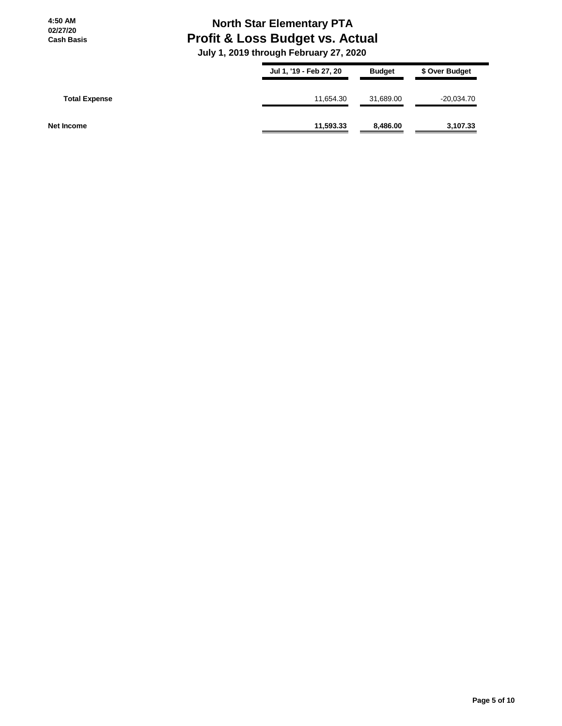### **North Star Elementary PTA Profit & Loss Budget vs. Actual**

|                      | Jul 1, '19 - Feb 27, 20 | <b>Budget</b> | \$ Over Budget |
|----------------------|-------------------------|---------------|----------------|
| <b>Total Expense</b> | 11,654.30               | 31,689.00     | $-20,034.70$   |
| Net Income           | 11,593.33               | 8,486.00      | 3,107.33       |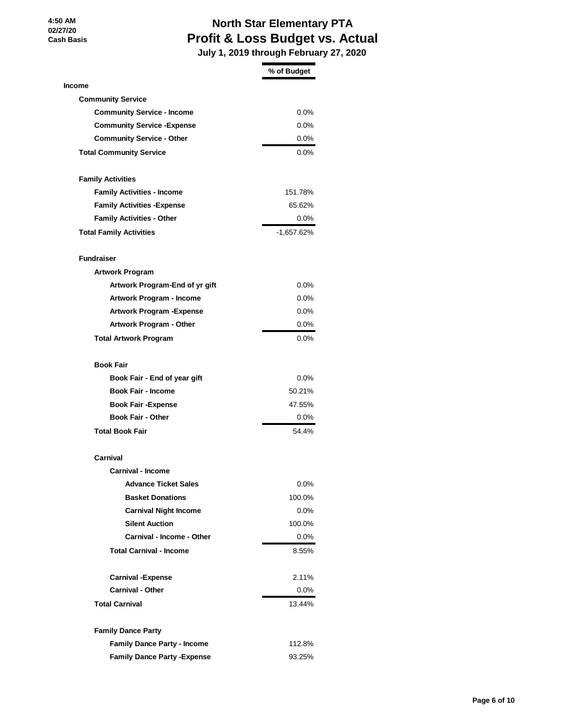# **North Star Elementary PTA Profit & Loss Budget vs. Actual**

|                                     | % of Budget  |
|-------------------------------------|--------------|
| <b>Income</b>                       |              |
| <b>Community Service</b>            |              |
| <b>Community Service - Income</b>   | $0.0\%$      |
| <b>Community Service - Expense</b>  | $0.0\%$      |
| <b>Community Service - Other</b>    | $0.0\%$      |
| <b>Total Community Service</b>      | $0.0\%$      |
| <b>Family Activities</b>            |              |
| <b>Family Activities - Income</b>   | 151.78%      |
| <b>Family Activities - Expense</b>  | 65.62%       |
| <b>Family Activities - Other</b>    | $0.0\%$      |
| <b>Total Family Activities</b>      | $-1,657.62%$ |
| <b>Fundraiser</b>                   |              |
| <b>Artwork Program</b>              |              |
| Artwork Program-End of yr gift      | $0.0\%$      |
| <b>Artwork Program - Income</b>     | 0.0%         |
| <b>Artwork Program - Expense</b>    | $0.0\%$      |
| <b>Artwork Program - Other</b>      | $0.0\%$      |
| <b>Total Artwork Program</b>        | $0.0\%$      |
| <b>Book Fair</b>                    |              |
| Book Fair - End of year gift        | $0.0\%$      |
| <b>Book Fair - Income</b>           | 50.21%       |
| <b>Book Fair - Expense</b>          | 47.55%       |
| <b>Book Fair - Other</b>            | 0.0%         |
| <b>Total Book Fair</b>              | 54.4%        |
| Carnival                            |              |
| <b>Carnival - Income</b>            |              |
| <b>Advance Ticket Sales</b>         | $0.0\%$      |
| <b>Basket Donations</b>             | 100.0%       |
| <b>Carnival Night Income</b>        | $0.0\%$      |
| <b>Silent Auction</b>               | 100.0%       |
| Carnival - Income - Other           | $0.0\%$      |
| <b>Total Carnival - Income</b>      | 8.55%        |
| <b>Carnival - Expense</b>           | 2.11%        |
| <b>Carnival - Other</b>             | $0.0\%$      |
| <b>Total Carnival</b>               | 13.44%       |
| <b>Family Dance Party</b>           |              |
| <b>Family Dance Party - Income</b>  | 112.8%       |
| <b>Family Dance Party - Expense</b> | 93.25%       |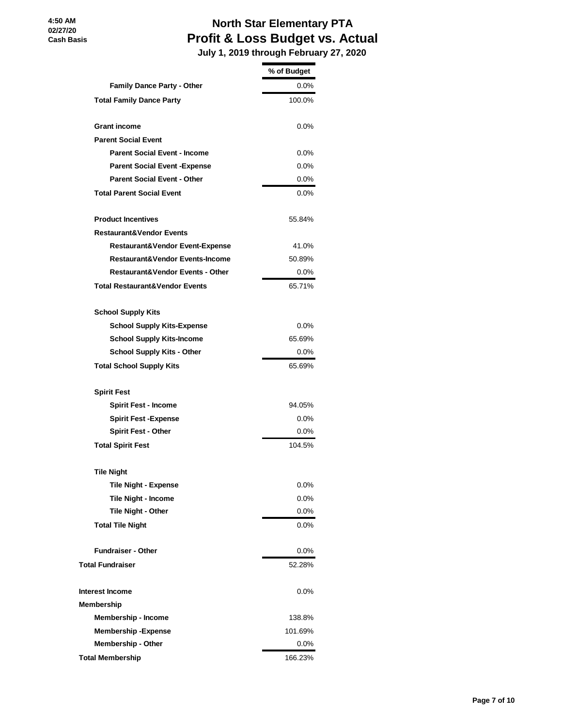#### **North Star Elementary PTA Profit & Loss Budget vs. Actual July 1, 2019 through February 27, 2020**

|                                             | % of Budget |
|---------------------------------------------|-------------|
| <b>Family Dance Party - Other</b>           | $0.0\%$     |
| <b>Total Family Dance Party</b>             | 100.0%      |
| <b>Grant income</b>                         | $0.0\%$     |
| <b>Parent Social Event</b>                  |             |
| <b>Parent Social Event - Income</b>         | $0.0\%$     |
| <b>Parent Social Event - Expense</b>        | $0.0\%$     |
| <b>Parent Social Event - Other</b>          | $0.0\%$     |
| <b>Total Parent Social Event</b>            | $0.0\%$     |
| <b>Product Incentives</b>                   | 55.84%      |
| <b>Restaurant&amp;Vendor Events</b>         |             |
| <b>Restaurant&amp;Vendor Event-Expense</b>  | 41.0%       |
| <b>Restaurant&amp;Vendor Events-Income</b>  | 50.89%      |
| <b>Restaurant&amp;Vendor Events - Other</b> | $0.0\%$     |
| <b>Total Restaurant&amp;Vendor Events</b>   | 65.71%      |
| <b>School Supply Kits</b>                   |             |
| <b>School Supply Kits-Expense</b>           | $0.0\%$     |
| <b>School Supply Kits-Income</b>            | 65.69%      |
| <b>School Supply Kits - Other</b>           | $0.0\%$     |
| <b>Total School Supply Kits</b>             | 65.69%      |
| <b>Spirit Fest</b>                          |             |
| <b>Spirit Fest - Income</b>                 | 94.05%      |
| <b>Spirit Fest -Expense</b>                 | 0.0%        |
| <b>Spirit Fest - Other</b>                  | $0.0\%$     |
| <b>Total Spirit Fest</b>                    | 104.5%      |
| <b>Tile Night</b>                           |             |
| <b>Tile Night - Expense</b>                 | 0.0%        |
| <b>Tile Night - Income</b>                  | $0.0\%$     |
| Tile Night - Other                          | $0.0\%$     |
| <b>Total Tile Night</b>                     | $0.0\%$     |
| <b>Fundraiser - Other</b>                   | $0.0\%$     |
| <b>Total Fundraiser</b>                     | 52.28%      |
| <b>Interest Income</b>                      | 0.0%        |
| Membership                                  |             |
| Membership - Income                         | 138.8%      |
| <b>Membership-Expense</b>                   | 101.69%     |
| Membership - Other                          | $0.0\%$     |
| <b>Total Membership</b>                     | 166.23%     |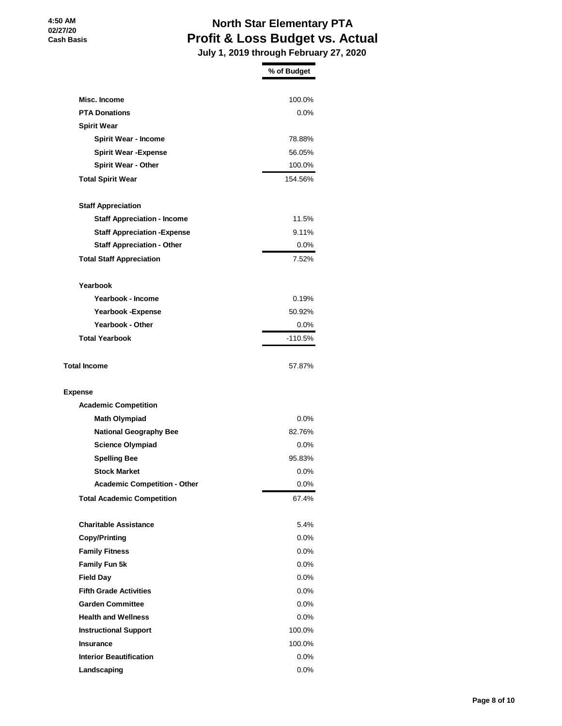#### **North Star Elementary PTA Profit & Loss Budget vs. Actual July 1, 2019 through February 27, 2020**

|                                     | % of Budget |
|-------------------------------------|-------------|
|                                     |             |
| Misc. Income                        | 100.0%      |
| <b>PTA Donations</b>                | $0.0\%$     |
| <b>Spirit Wear</b>                  |             |
| <b>Spirit Wear - Income</b>         | 78.88%      |
| <b>Spirit Wear - Expense</b>        | 56.05%      |
| <b>Spirit Wear - Other</b>          | 100.0%      |
| <b>Total Spirit Wear</b>            | 154.56%     |
| <b>Staff Appreciation</b>           |             |
| <b>Staff Appreciation - Income</b>  | 11.5%       |
| <b>Staff Appreciation - Expense</b> | 9.11%       |
| <b>Staff Appreciation - Other</b>   | 0.0%        |
| <b>Total Staff Appreciation</b>     | 7.52%       |
| Yearbook                            |             |
| Yearbook - Income                   | 0.19%       |
| <b>Yearbook -Expense</b>            | 50.92%      |
| <b>Yearbook - Other</b>             | $0.0\%$     |
| <b>Total Yearbook</b>               | -110.5%     |
| <b>Total Income</b>                 | 57.87%      |
| <b>Expense</b>                      |             |
| <b>Academic Competition</b>         |             |
| <b>Math Olympiad</b>                | $0.0\%$     |
| <b>National Geography Bee</b>       | 82.76%      |
| <b>Science Olympiad</b>             | $0.0\%$     |
| <b>Spelling Bee</b>                 | 95.83%      |
| <b>Stock Market</b>                 | $0.0\%$     |
| <b>Academic Competition - Other</b> | $0.0\%$     |
| <b>Total Academic Competition</b>   | 67.4%       |
| <b>Charitable Assistance</b>        | 5.4%        |
| Copy/Printing                       | $0.0\%$     |
| <b>Family Fitness</b>               | 0.0%        |
| Family Fun 5k                       | $0.0\%$     |
| <b>Field Day</b>                    | 0.0%        |
| <b>Fifth Grade Activities</b>       | 0.0%        |
| <b>Garden Committee</b>             | $0.0\%$     |
| <b>Health and Wellness</b>          | $0.0\%$     |
| <b>Instructional Support</b>        | 100.0%      |
| <b>Insurance</b>                    | 100.0%      |
| <b>Interior Beautification</b>      | $0.0\%$     |
| Landscaping                         | 0.0%        |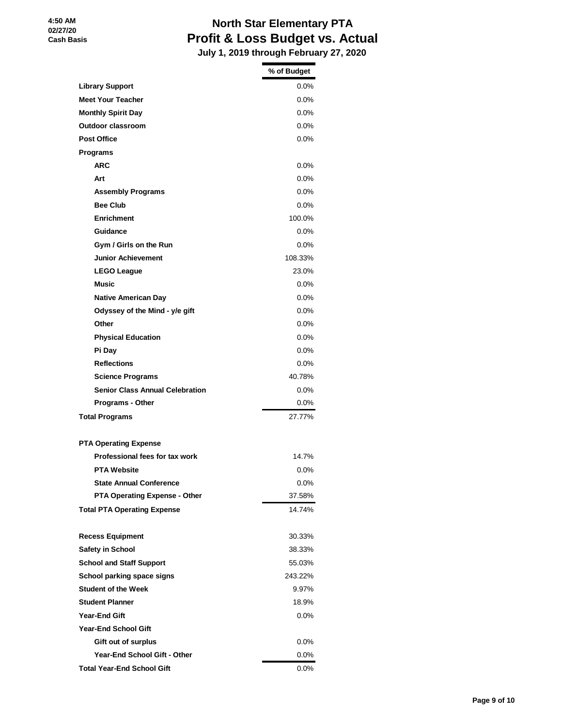#### **North Star Elementary PTA Profit & Loss Budget vs. Actual July 1, 2019 through February 27, 2020**

|                                        | % of Budget |
|----------------------------------------|-------------|
| <b>Library Support</b>                 | $0.0\%$     |
| <b>Meet Your Teacher</b>               | $0.0\%$     |
| <b>Monthly Spirit Day</b>              | 0.0%        |
| Outdoor classroom                      | $0.0\%$     |
| <b>Post Office</b>                     | $0.0\%$     |
| <b>Programs</b>                        |             |
| <b>ARC</b>                             | $0.0\%$     |
| Art                                    | $0.0\%$     |
| <b>Assembly Programs</b>               | 0.0%        |
| <b>Bee Club</b>                        | $0.0\%$     |
| <b>Enrichment</b>                      | 100.0%      |
| Guidance                               | $0.0\%$     |
| Gym / Girls on the Run                 | $0.0\%$     |
| <b>Junior Achievement</b>              | 108.33%     |
| <b>LEGO League</b>                     | 23.0%       |
| Music                                  | 0.0%        |
| <b>Native American Day</b>             | $0.0\%$     |
| Odyssey of the Mind - y/e gift         | 0.0%        |
| Other                                  | $0.0\%$     |
| <b>Physical Education</b>              | $0.0\%$     |
| Pi Day                                 | 0.0%        |
| <b>Reflections</b>                     | $0.0\%$     |
| <b>Science Programs</b>                | 40.78%      |
| <b>Senior Class Annual Celebration</b> | $0.0\%$     |
| Programs - Other                       | 0.0%        |
| <b>Total Programs</b>                  | 27.77%      |
| <b>PTA Operating Expense</b>           |             |
| Professional fees for tax work         | 14.7%       |
| <b>PTA Website</b>                     | $0.0\%$     |
| <b>State Annual Conference</b>         | 0.0%        |
| <b>PTA Operating Expense - Other</b>   | 37.58%      |
| <b>Total PTA Operating Expense</b>     | 14.74%      |
| <b>Recess Equipment</b>                | 30.33%      |
| <b>Safety in School</b>                | 38.33%      |
| <b>School and Staff Support</b>        | 55.03%      |
| School parking space signs             | 243.22%     |
| <b>Student of the Week</b>             | 9.97%       |
| <b>Student Planner</b>                 | 18.9%       |
| Year-End Gift                          | 0.0%        |
| <b>Year-End School Gift</b>            |             |
| Gift out of surplus                    | $0.0\%$     |
| <b>Year-End School Gift - Other</b>    | 0.0%        |
| <b>Total Year-End School Gift</b>      | 0.0%        |